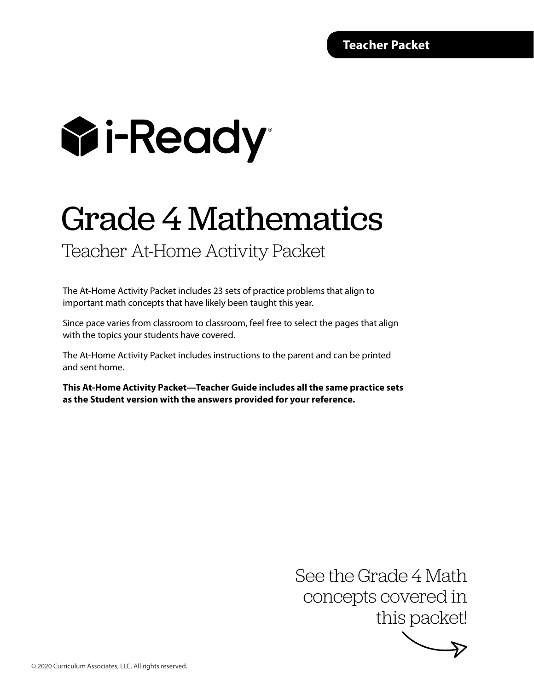# **Wi-Ready**

## Grade 4 Mathematics

### Teacher At-Home Activity Packet

The At-Home Activity Packet includes 23 sets of practice problems that align to important math concepts that have likely been taught this year.

Since pace varies from classroom to classroom, feel free to select the pages that align with the topics your students have covered.

The At-Home Activity Packet includes instructions to the parent and can be printed and sent home.

**This At-Home Activity Packet—Teacher Guide includes all the same practice sets as the Student version with the answers provided for your reference.**

> See the Grade 4 Math concepts covered in this packet!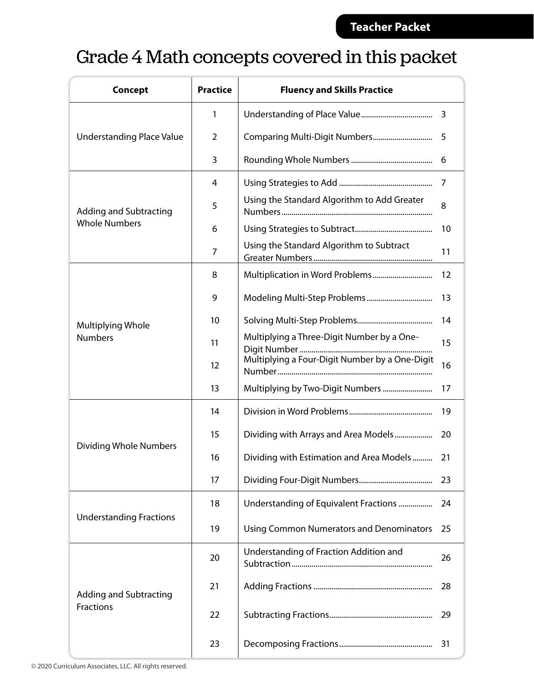### Grade 4 Math concepts covered in this packet

| <b>Concept</b>                      | <b>Practice</b> | <b>Fluency and Skills Practice</b>              |    |
|-------------------------------------|-----------------|-------------------------------------------------|----|
|                                     | 1               |                                                 | 3  |
| <b>Understanding Place Value</b>    | 2               |                                                 | 5  |
|                                     | 3               |                                                 | 6  |
| <b>Adding and Subtracting</b>       | 4               |                                                 | 7  |
|                                     | 5               | Using the Standard Algorithm to Add Greater     | 8  |
| <b>Whole Numbers</b>                | 6               |                                                 | 10 |
|                                     | 7               | Using the Standard Algorithm to Subtract        | 11 |
| Multiplying Whole<br><b>Numbers</b> | 8               |                                                 | 12 |
|                                     | 9               |                                                 | 13 |
|                                     | 10              |                                                 | 14 |
|                                     | 11              | Multiplying a Three-Digit Number by a One-      | 15 |
|                                     | 12              | Multiplying a Four-Digit Number by a One-Digit  | 16 |
|                                     | 13              | Multiplying by Two-Digit Numbers                | 17 |
|                                     | 14              |                                                 | 19 |
| <b>Dividing Whole Numbers</b>       | 15              | Dividing with Arrays and Area Models            | 20 |
|                                     | 16              | Dividing with Estimation and Area Models        | 21 |
|                                     | 17              |                                                 | 23 |
|                                     | 18              | Understanding of Equivalent Fractions           | 24 |
| <b>Understanding Fractions</b>      | 19              | <b>Using Common Numerators and Denominators</b> | 25 |
|                                     | 20              | Understanding of Fraction Addition and          | 26 |
| <b>Adding and Subtracting</b>       | 21              |                                                 | 28 |
| Fractions                           | 22              |                                                 | 29 |
|                                     | 23              |                                                 | 31 |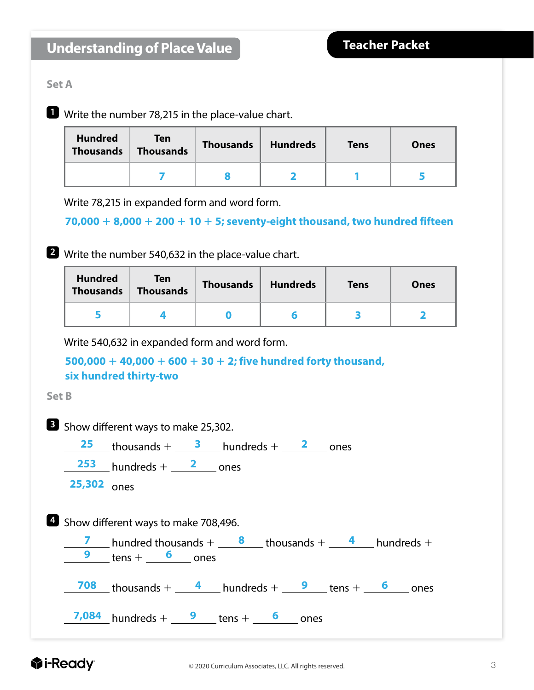#### **Set A**

**1** Write the number 78,215 in the place-value chart.

| <b>Hundred</b><br><b>Thousands</b> | Ten<br><b>Thousands</b> | <b>Thousands</b> | <b>Hundreds</b> | <b>Tens</b> | <b>Ones</b> |
|------------------------------------|-------------------------|------------------|-----------------|-------------|-------------|
|                                    |                         |                  |                 |             |             |

Write 78,215 in expanded form and word form.

**70,000** 1 **8,000** 1 **200** 1 **10** 1 **5; seventy-eight thousand, two hundred fifteen**

**2** Write the number 540,632 in the place-value chart.

| <b>Hundred</b><br><b>Thousands</b> | <b>Ten</b><br><b>Thousands</b> | <b>Thousands</b> | <b>Hundreds</b> | <b>Tens</b> | Ones |
|------------------------------------|--------------------------------|------------------|-----------------|-------------|------|
|                                    |                                |                  |                 |             |      |

Write 540,632 in expanded form and word form.

```
500,000 1 40,000 1 600 1 30 1 2; five hundred forty thousand, 
six hundred thirty-two
```
**Set B**

|               | <b>B</b> Show different ways to make 25,302.                                                                                                                  |
|---------------|---------------------------------------------------------------------------------------------------------------------------------------------------------------|
|               | $\frac{25}{25}$ thousands + $\frac{3}{25}$ hundreds + $\frac{2}{25}$ ones                                                                                     |
|               | $253$ hundreds + $2$ ones                                                                                                                                     |
| $25,302$ ones |                                                                                                                                                               |
|               | <sup>4</sup> Show different ways to make 708,496.<br><b>7</b> hundred thousands + $\frac{8}{100}$ thousands + $\frac{4}{100}$ hundreds +<br>9 $tens +$ 6 ones |
|               | $\frac{708}{1000}$ thousands + $\frac{4}{1000}$ hundreds + $\frac{9}{1000}$ tens + $\frac{6}{1000}$ ones                                                      |
|               | 7,084 hundreds + $\frac{9}{2}$ tens + $\frac{6}{2}$ ones                                                                                                      |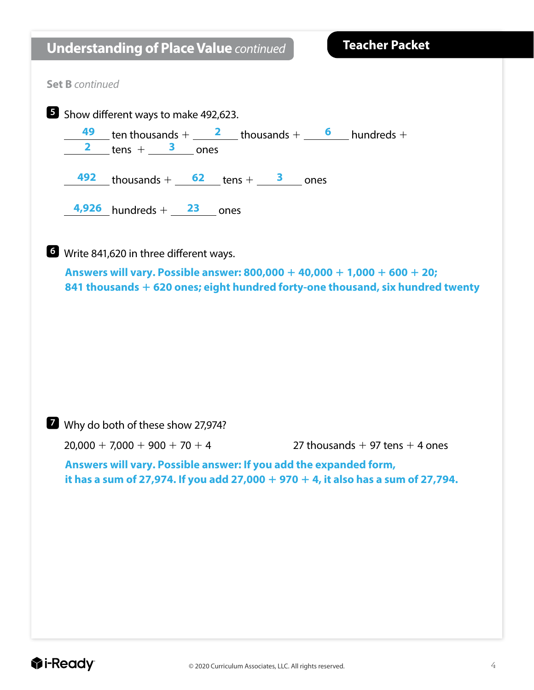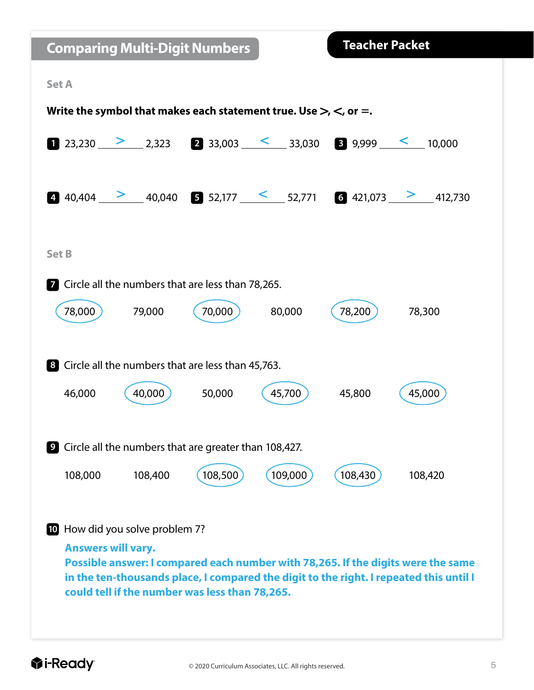| <b>Comparing Multi-Digit Numbers</b>                                                                                                                                                                                                                      |         | <b>Teacher Packet</b> |         |
|-----------------------------------------------------------------------------------------------------------------------------------------------------------------------------------------------------------------------------------------------------------|---------|-----------------------|---------|
| <b>Set A</b>                                                                                                                                                                                                                                              |         |                       |         |
| Write the symbol that makes each statement true. Use $>$ , $<$ , or =.                                                                                                                                                                                    |         |                       |         |
| <b>1</b> 23,230 2 2,323 <b>2</b> 33,003 $\leq$ 33,030 <b>3</b> 9,999 $\leq$ 10,000                                                                                                                                                                        |         |                       |         |
| 40,404 2 40,040 5 52,177 $\leq$ 52,771 6 421,073 2 412,730                                                                                                                                                                                                |         |                       |         |
| <b>Set B</b>                                                                                                                                                                                                                                              |         |                       |         |
| Circle all the numbers that are less than 78,265.<br>$\overline{7}$                                                                                                                                                                                       |         |                       |         |
| 78,000<br>79,000<br>70,000                                                                                                                                                                                                                                | 80,000  | 78,200                | 78,300  |
| Circle all the numbers that are less than 45,763.<br>8 <sup>1</sup>                                                                                                                                                                                       |         |                       |         |
| 40,000<br>46,000<br>50,000                                                                                                                                                                                                                                | 45,700  | 45,800                | 45,000  |
| <b>2</b> Circle all the numbers that are greater than 108,427.                                                                                                                                                                                            |         |                       |         |
| 108,500<br>108,000<br>108,400                                                                                                                                                                                                                             | 109,000 | 108,430               | 108,420 |
| 10 How did you solve problem 7?                                                                                                                                                                                                                           |         |                       |         |
| <b>Answers will vary.</b><br>Possible answer: I compared each number with 78,265. If the digits were the same<br>in the ten-thousands place, I compared the digit to the right. I repeated this until I<br>could tell if the number was less than 78,265. |         |                       |         |
|                                                                                                                                                                                                                                                           |         |                       |         |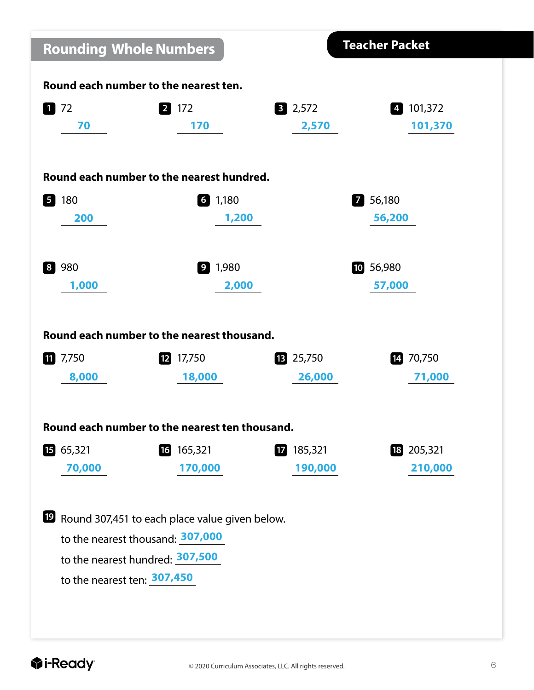| <b>Rounding Whole Numbers</b>         |                                                         |                 | <b>Teacher Packet</b>                       |  |  |
|---------------------------------------|---------------------------------------------------------|-----------------|---------------------------------------------|--|--|
| Round each number to the nearest ten. |                                                         |                 |                                             |  |  |
| $1 \overline{\smash{\big)}\ 72}$      | 2 172                                                   | $3 \quad 2,572$ | 101,372<br>$\begin{array}{c} 4 \end{array}$ |  |  |
| 70                                    | 170                                                     | 2,570           | 101,370                                     |  |  |
|                                       |                                                         |                 |                                             |  |  |
|                                       | Round each number to the nearest hundred.               |                 |                                             |  |  |
| 180<br>$\sqrt{5}$                     | $6 \quad 1,180$                                         |                 | 7 56,180                                    |  |  |
| 200                                   | 1,200                                                   |                 | 56,200                                      |  |  |
|                                       |                                                         |                 |                                             |  |  |
| 980<br>8                              | $9 \t1,980$                                             |                 | 10 56,980                                   |  |  |
| 1,000                                 | 2,000                                                   |                 | 57,000                                      |  |  |
|                                       |                                                         |                 |                                             |  |  |
|                                       | Round each number to the nearest thousand.              |                 |                                             |  |  |
|                                       |                                                         |                 |                                             |  |  |
| 7,750<br>11                           | $12$ 17,750                                             | 13 25,750       | 14 70,750                                   |  |  |
| 8,000                                 | 18,000                                                  | 26,000          | 71,000                                      |  |  |
|                                       |                                                         |                 |                                             |  |  |
|                                       | Round each number to the nearest ten thousand.          |                 |                                             |  |  |
| 1565,321                              | 16 165,321                                              | $12$ 185,321    | 18 205,321                                  |  |  |
| 70,000                                | 170,000                                                 | 190,000         | 210,000                                     |  |  |
|                                       |                                                         |                 |                                             |  |  |
|                                       | <b>E</b> Round 307,451 to each place value given below. |                 |                                             |  |  |
| to the nearest thousand: 307,000      |                                                         |                 |                                             |  |  |
|                                       | to the nearest hundred: 307,500                         |                 |                                             |  |  |
| to the nearest ten: 307,450           |                                                         |                 |                                             |  |  |
|                                       |                                                         |                 |                                             |  |  |
|                                       |                                                         |                 |                                             |  |  |
|                                       |                                                         |                 |                                             |  |  |

I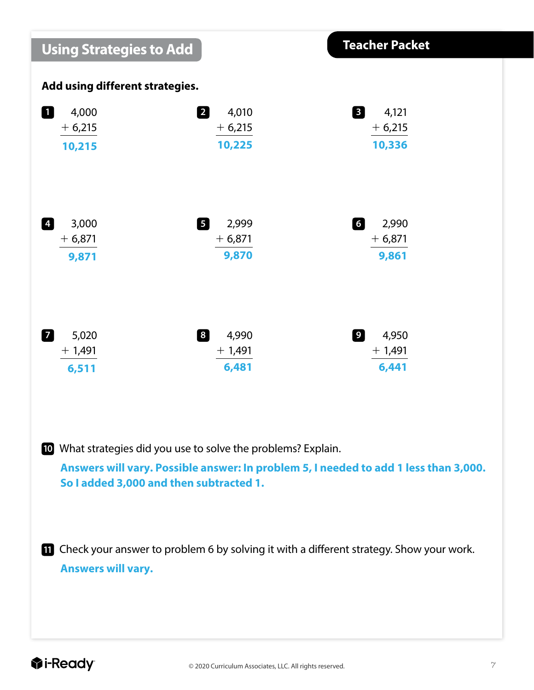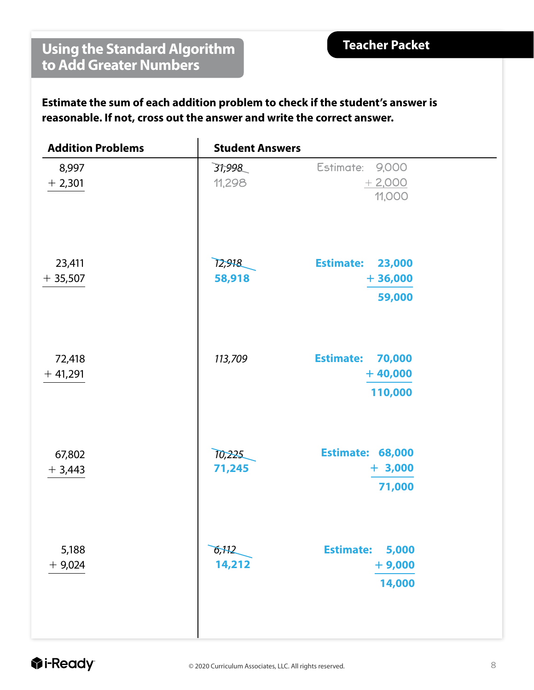### **Using the Standard Algorithm to Add Greater Numbers**

**Estimate the sum of each addition problem to check if the student's answer is reasonable. If not, cross out the answer and write the correct answer.**

| <b>Addition Problems</b> | <b>Student Answers</b> |                                                    |
|--------------------------|------------------------|----------------------------------------------------|
| 8,997<br>$+2,301$        | 31,998<br>11,298       | Estimate: 9,000<br>$+2,000$<br>11,000              |
| 23,411<br>$+35,507$      | 12,918<br>58,918       | <b>Estimate:</b><br>23,000<br>$+36,000$<br>59,000  |
| 72,418<br>$+41,291$      | 113,709                | <b>Estimate:</b><br>70,000<br>$+40,000$<br>110,000 |
| 67,802<br>$+3,443$       | 10,225<br>71,245       | <b>Estimate: 68,000</b><br>$+ 3,000$<br>71,000     |
| 5,188<br>$+9,024$        | 6,112<br>14,212        | <b>Estimate:</b><br>5,000<br>$+9,000$<br>14,000    |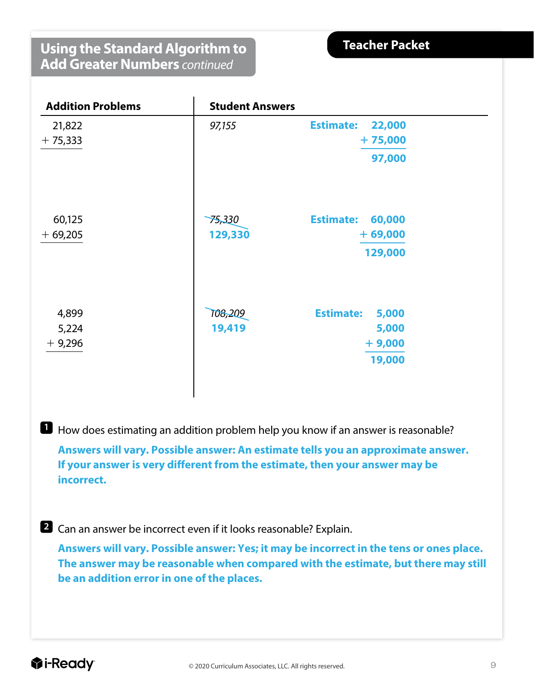#### **Using the Standard Algorithm to Add Greater Numbers** *continued*

**Teacher Packet** 

| <b>Addition Problems</b> | <b>Student Answers</b> |                            |  |
|--------------------------|------------------------|----------------------------|--|
| 21,822                   | 97,155                 | <b>Estimate:</b><br>22,000 |  |
| $+75,333$                |                        | $+75,000$                  |  |
|                          |                        | 97,000                     |  |
| 60,125                   | 75,330                 | <b>Estimate:</b><br>60,000 |  |
| $+69,205$                | 129,330                | $+69,000$                  |  |
|                          |                        | 129,000                    |  |
| 4,899                    | 108,209                | <b>Estimate:</b><br>5,000  |  |
| 5,224                    | 19,419                 | 5,000                      |  |
| $+9,296$                 |                        | $+9,000$                   |  |
|                          |                        | 19,000                     |  |

**1** How does estimating an addition problem help you know if an answer is reasonable?

**Answers will vary. Possible answer: An estimate tells you an approximate answer. If your answer is very different from the estimate, then your answer may be incorrect.**

**2** Can an answer be incorrect even if it looks reasonable? Explain.

**Answers will vary. Possible answer: Yes; it may be incorrect in the tens or ones place. The answer may be reasonable when compared with the estimate, but there may still be an addition error in one of the places.**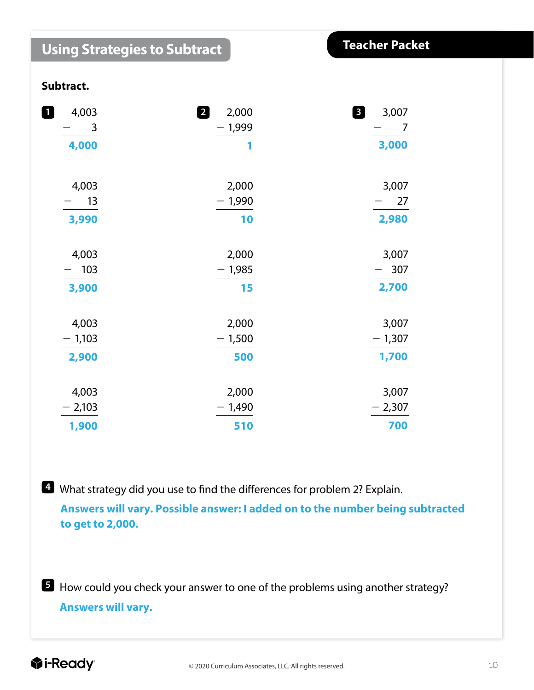| <b>Using Strategies to Subtract</b> | <b>Teacher Packet</b> |            |
|-------------------------------------|-----------------------|------------|
| Subtract.                           |                       |            |
| 4,003<br>$\mathbf{1}$               | 2<br>2,000            | 8<br>3,007 |
| $\overline{\phantom{a}}$ 3          | $-1,999$              | - 7        |
| 4,000                               | 1                     | 3,000      |
| 4,003                               | 2,000                 | 3,007      |
| 13                                  | $-1,990$              | 27         |
| 3,990                               | 10                    | 2,980      |
| 4,003                               | 2,000                 | 3,007      |
| 103<br>$\overline{\phantom{0}}$     | $-1,985$              | 307        |
| 3,900                               | 15                    | 2,700      |
| 4,003                               | 2,000                 | 3,007      |
| $-1,103$                            | $-1,500$              | $-1,307$   |
| 2,900                               | 500                   | 1,700      |
| 4,003                               | 2,000                 | 3,007      |
| $-2,103$                            | $-1,490$              | $-2,307$   |
| 1,900                               | 510                   | 700        |

**4** What strategy did you use to find the differences for problem 2? Explain.

**Answers will vary. Possible answer: I added on to the number being subtracted to get to 2,000.**

**5** How could you check your answer to one of the problems using another strategy? **Answers will vary.**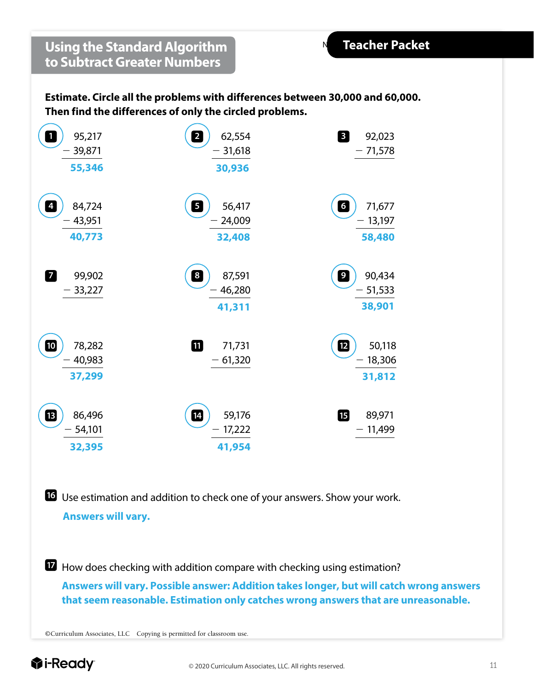**Estimate. Circle all the problems with differences between 30,000 and 60,000. Then find the differences of only the circled problems.**

| $\mathbf{1}$<br>95,217<br>39,871<br>55,346   | $\overline{\mathbf{c}}$<br>62,554<br>31,618<br>30,936 | $\boxed{3}$<br>92,023<br>$-71,578$                             |
|----------------------------------------------|-------------------------------------------------------|----------------------------------------------------------------|
| 84,724<br>$\overline{4}$<br>43,951<br>40,773 | $\overline{\mathbf{5}}$<br>56,417<br>24,009<br>32,408 | $\begin{array}{c} 6 \end{array}$<br>71,677<br>13,197<br>58,480 |
| 7<br>99,902<br>$-33,227$                     | $\boxed{8}$<br>87,591<br>46,280<br>41,311             | $\boxed{9}$<br>90,434<br>$-51,533$<br>38,901                   |
| 10<br>78,282<br>40,983<br>37,299             | 0<br>71,731<br>$-61,320$                              | 12<br>50,118<br>18,306<br>$\qquad \qquad -$<br>31,812          |
| ß<br>86,496<br>54,101<br>32,395              | $\overline{14}$<br>59,176<br>17,222<br>41,954         | 個<br>89,971<br>11,499                                          |

 Use estimation and addition to check one of your answers. Show your work. **Answers will vary.** 

 How does checking with addition compare with checking using estimation? **Answers will vary. Possible answer: Addition takes longer, but will catch wrong answers that seem reasonable. Estimation only catches wrong answers that are unreasonable.**

©Curriculum Associates, LLC Copying is permitted for classroom use.

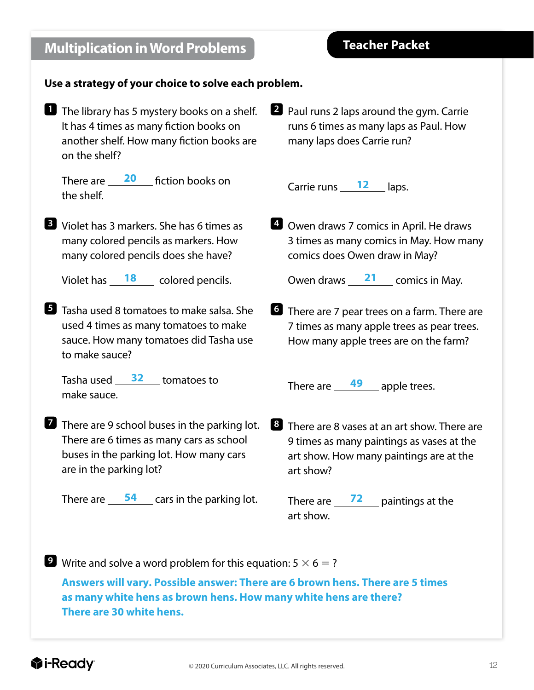| <b>Multiplication in Word Problems</b>                                                                                                                         | <b>Teacher Packet</b>                                                                                                                                         |
|----------------------------------------------------------------------------------------------------------------------------------------------------------------|---------------------------------------------------------------------------------------------------------------------------------------------------------------|
| Use a strategy of your choice to solve each problem.                                                                                                           |                                                                                                                                                               |
| The library has 5 mystery books on a shelf.<br>It has 4 times as many fiction books on<br>another shelf. How many fiction books are<br>on the shelf?           | Paul runs 2 laps around the gym. Carrie<br>runs 6 times as many laps as Paul. How<br>many laps does Carrie run?                                               |
| There are $\frac{20}{100}$ fiction books on<br>the shelf.                                                                                                      | Carrie runs $\frac{12}{\sqrt{2}}$ laps.                                                                                                                       |
| <b>B</b> Violet has 3 markers. She has 6 times as<br>many colored pencils as markers. How<br>many colored pencils does she have?                               | <b>4</b> Owen draws 7 comics in April. He draws<br>3 times as many comics in May. How many<br>comics does Owen draw in May?                                   |
| Violet has $\frac{18}{2}$ colored pencils.                                                                                                                     | Owen draws 21 comics in May.                                                                                                                                  |
| <b>E</b> Tasha used 8 tomatoes to make salsa. She<br>used 4 times as many tomatoes to make<br>sauce. How many tomatoes did Tasha use<br>to make sauce?         | <b>1</b> There are 7 pear trees on a farm. There are<br>7 times as many apple trees as pear trees.<br>How many apple trees are on the farm?                   |
| Tasha used $\frac{32}{2}$ tomatoes to<br>make sauce.                                                                                                           | There are $\frac{49}{49}$ apple trees.                                                                                                                        |
| There are 9 school buses in the parking lot.<br>There are 6 times as many cars as school<br>buses in the parking lot. How many cars<br>are in the parking lot? | <sup>8</sup> There are 8 vases at an art show. There are<br>9 times as many paintings as vases at the<br>art show. How many paintings are at the<br>art show? |
| There are $\frac{54}{2}$ cars in the parking lot.                                                                                                              | There are $\frac{72}{2}$ paintings at the<br>art show.                                                                                                        |

**9** Write and solve a word problem for this equation:  $5 \times 6 = ?$ **Answers will vary. Possible answer: There are 6 brown hens. There are 5 times as many white hens as brown hens. How many white hens are there? There are 30 white hens.**

#### **Teacher Packet**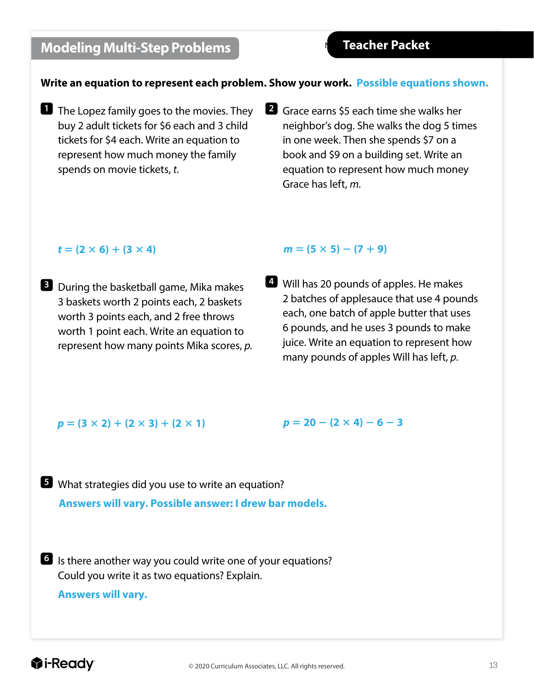### **Modeling Multi-Step Problems**

#### **Write an equation to represent each problem. Show your work. Possible equations shown.**

- **1** The Lopez family goes to the movies. They buy 2 adult tickets for \$6 each and 3 child tickets for \$4 each. Write an equation to represent how much money the family spends on movie tickets, *t*.
- **2** Grace earns \$5 each time she walks her neighbor's dog. She walks the dog 5 times in one week. Then she spends \$7 on a book and \$9 on a building set. Write an equation to represent how much money Grace has left, *m*.

#### $t = (2 \times 6) + (3 \times 4)$

**3** During the basketball game, Mika makes 3 baskets worth 2 points each, 2 baskets worth 3 points each, and 2 free throws worth 1 point each. Write an equation to represent how many points Mika scores, *p*.

#### $m = (5 \times 5) - (7 + 9)$

**4** Will has 20 pounds of apples. He makes 2 batches of applesauce that use 4 pounds each, one batch of apple butter that uses 6 pounds, and he uses 3 pounds to make juice. Write an equation to represent how many pounds of apples Will has left, *p*.

#### $p = (3 \times 2) + (2 \times 3) + (2 \times 1)$

 $p = 20 - (2 \times 4) - 6 - 3$ 

**5** What strategies did you use to write an equation? **Answers will vary. Possible answer: I drew bar models.**

**6** Is there another way you could write one of your equations? Could you write it as two equations? Explain.

**Answers will vary.**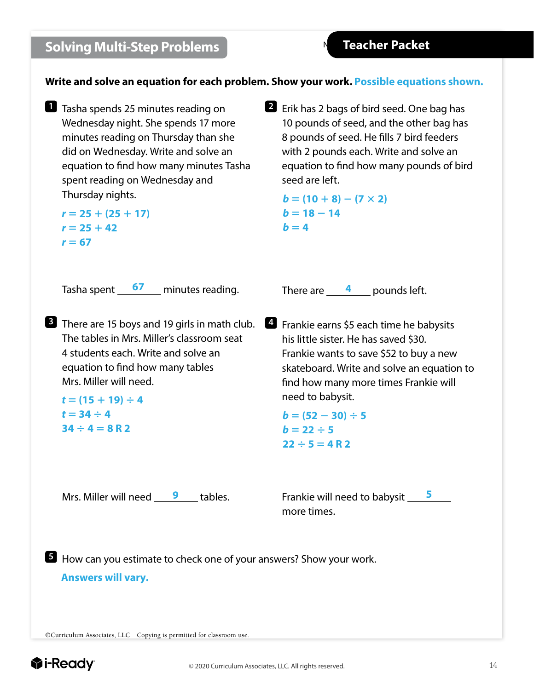### **Solving Multi-Step Problems**

**Write and solve an equation for each problem. Show your work. Possible equations shown.**

**1** Tasha spends 25 minutes reading on Wednesday night. She spends 17 more minutes reading on Thursday than she did on Wednesday. Write and solve an equation to find how many minutes Tasha spent reading on Wednesday and Thursday nights.

```
r = 25 + (25 + 17)r = 25 + 42r = 67
```
**2** Erik has 2 bags of bird seed. One bag has 10 pounds of seed, and the other bag has 8 pounds of seed. He fills 7 bird feeders with 2 pounds each. Write and solve an equation to find how many pounds of bird seed are left.

 $$  $$  $$ 

Tasha spent minutes reading. **67**

**3** There are 15 boys and 19 girls in math club.  $\blacksquare$  Frankie earns \$5 each time he babysits The tables in Mrs. Miller's classroom seat 4 students each. Write and solve an equation to find how many tables Mrs. Miller will need.

 $t = (15 + 19) \div 4$  $t = 34 \div 4$  $34 \div 4 = 8$ **R** 2

There are  $\frac{4}{2}$  pounds left.

his little sister. He has saved \$30. Frankie wants to save \$52 to buy a new skateboard. Write and solve an equation to find how many more times Frankie will need to babysit.

 $$  $b = 22 \div 5$  $22 \div 5 = 4 R 2$ 

Mrs. Miller will need 9 tables.

Frankie will need to babysit **5** more times.

**5** How can you estimate to check one of your answers? Show your work.

**Answers will vary.** 

©Curriculum Associates, LLC Copying is permitted for classroom use.

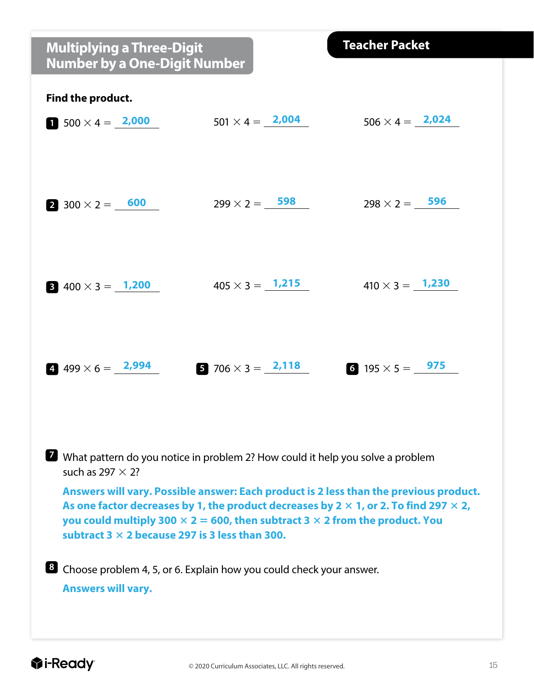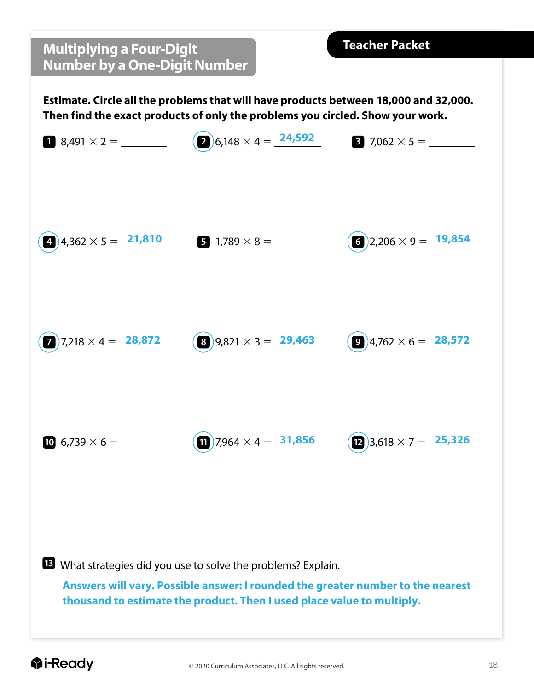### **Multiplying a Four-Digit Number by a One-Digit Number**

**Estimate. Circle all the problems that will have products between 18,000 and 32,000. Then find the exact products of only the problems you circled. Show your work.**



**13** What strategies did you use to solve the problems? Explain.

**Answers will vary. Possible answer: I rounded the greater number to the nearest thousand to estimate the product. Then I used place value to multiply.**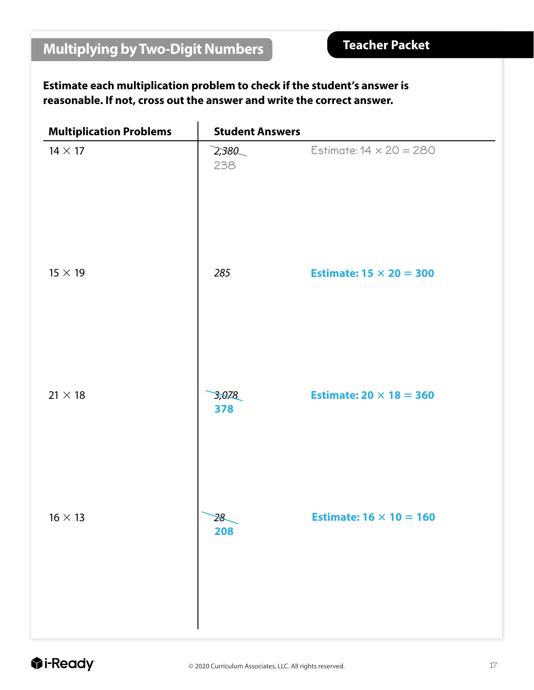#### **Estimate each multiplication problem to check if the student's answer is reasonable. If not, cross out the answer and write the correct answer.**

| <b>Multiplication Problems</b> | <b>Student Answers</b> |                                |
|--------------------------------|------------------------|--------------------------------|
| $14 \times 17$                 | 2,380<br>238           | Estimate: $14 \times 20 = 280$ |
| $15 \times 19$                 | 285                    | Estimate: $15 \times 20 = 300$ |
| $21 \times 18$                 | 3,078<br>378           | Estimate: $20 \times 18 = 360$ |
| $16 \times 13$                 | 28<br>208              | Estimate: $16 \times 10 = 160$ |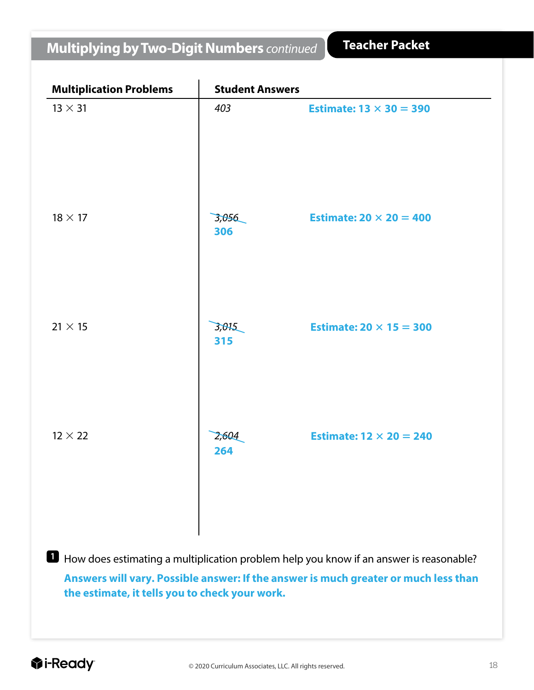### **Multiplying by Two-Digit Numbers** *continued*

| <b>Multiplication Problems</b>                                                         | <b>Student Answers</b> |                                |  |  |
|----------------------------------------------------------------------------------------|------------------------|--------------------------------|--|--|
| $13 \times 31$                                                                         | 403                    | Estimate: $13 \times 30 = 390$ |  |  |
| $18 \times 17$                                                                         | 3,056<br>306           | Estimate: $20 \times 20 = 400$ |  |  |
| $21 \times 15$                                                                         | 3,015<br>315           | Estimate: $20 \times 15 = 300$ |  |  |
| $12 \times 22$                                                                         | 2,604<br>264           | Estimate: $12 \times 20 = 240$ |  |  |
| How does estimating a multiplication problem help you know if an answer is reasonable? |                        |                                |  |  |

**Answers will vary. Possible answer: If the answer is much greater or much less than the estimate, it tells you to check your work.**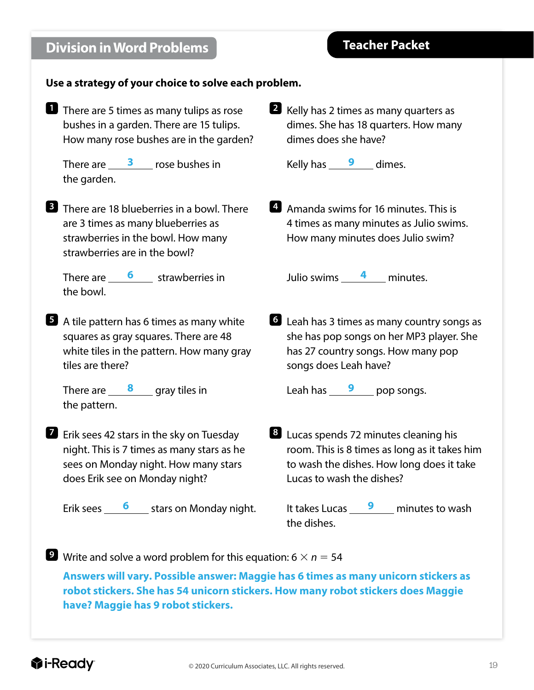## **7** Erik sees 42 stars in the sky on Tuesday night. This is 7 times as many stars as he sees on Monday night. How many stars does Erik see on Monday night? Erik sees **6** Stars on Monday night. *<u>i*</u>-Ready

dimes does she have? Kelly has <u>9</u> dimes.

**2** Kelly has 2 times as many quarters as

dimes. She has 18 quarters. How many

**4** Amanda swims for 16 minutes. This is 4 times as many minutes as Julio swims. How many minutes does Julio swim?

Julio swims \_\_\_\_\_<sup>4</sup>\_\_\_\_ minutes.

**6** Leah has 3 times as many country songs as she has pop songs on her MP3 player. She has 27 country songs. How many pop songs does Leah have?

Leah has **9** pop songs.

**8** Lucas spends 72 minutes cleaning his room. This is 8 times as long as it takes him to wash the dishes. How long does it take Lucas to wash the dishes?

It takes Lucas **9** minutes to wash the dishes.

**9** Write and solve a word problem for this equation:  $6 \times n = 54$ 

**Answers will vary. Possible answer: Maggie has 6 times as many unicorn stickers as robot stickers. She has 54 unicorn stickers. How many robot stickers does Maggie have? Maggie has 9 robot stickers.** 

### **Division in Word Problems**

**1** There are 5 times as many tulips as rose bushes in a garden. There are 15 tulips. How many rose bushes are in the garden?

**Use a strategy of your choice to solve each problem.**

There are  $\frac{3}{2}$  rose bushes in

**3** There are 18 blueberries in a bowl. There are 3 times as many blueberries as strawberries in the bowl. How many

There are **6** strawberries in

**5** A tile pattern has 6 times as many white squares as gray squares. There are 48 white tiles in the pattern. How many gray

There are **8** gray tiles in

strawberries are in the bowl?

the garden.

the bowl.

tiles are there?

the pattern.

#### **Teacher Packet**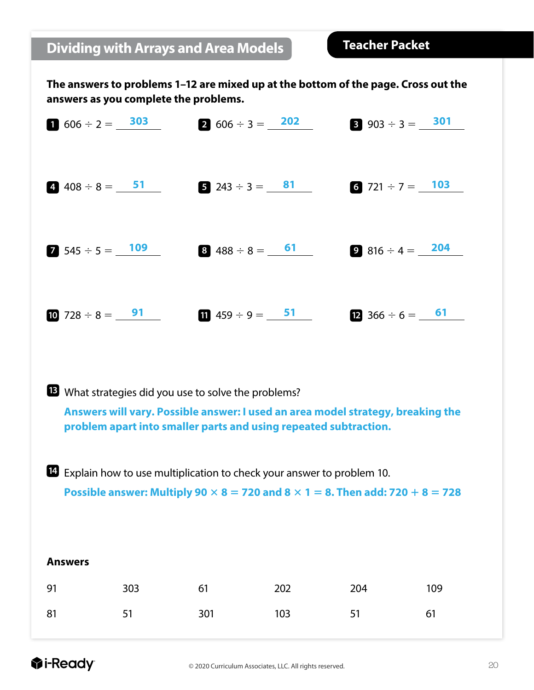### **Dividing with Arrays and Area Models**

**Teacher Packet** 

**The answers to problems 1–12 are mixed up at the bottom of the page. Cross out the answers as you complete the problems.**

| $\bullet$ 606 ÷ 2 = 303   | <b>2</b> $606 \div 3 = 202$             | <b>8</b> 903 ÷ 3 = 301            |
|---------------------------|-----------------------------------------|-----------------------------------|
| 4. $408 \div 8 =$ 51      | <b>5</b> 243 ÷ 3 = $\frac{81}{ }$       | 6 721 ÷ 7 = $103$                 |
| <b>2</b> 545 ÷ 5 = $109$  | $8\,488 \div 8 = \frac{61}{1}$          | $9816 \div 4 = 204$               |
| 10 728 $\div$ 8 = $^{91}$ | <b>11</b> 459 $\div$ 9 = $\frac{51}{1}$ | <b>12</b> 366 $\div$ 6 = $\_\_61$ |

What strategies did you use to solve the problems?

**Answers will vary. Possible answer: I used an area model strategy, breaking the problem apart into smaller parts and using repeated subtraction.**

 Explain how to use multiplication to check your answer to problem 10. **Possible answer: Multiply 90**  $\times$  **8 = 720 and 8**  $\times$  **1 = 8. Then add: 720 + 8 = 728** 

| <b>Answers</b> |     |     |     |     |     |
|----------------|-----|-----|-----|-----|-----|
| 91             | 303 | 61  | 202 | 204 | 109 |
| 81             | 51  | 301 | 103 | 51  | 61  |

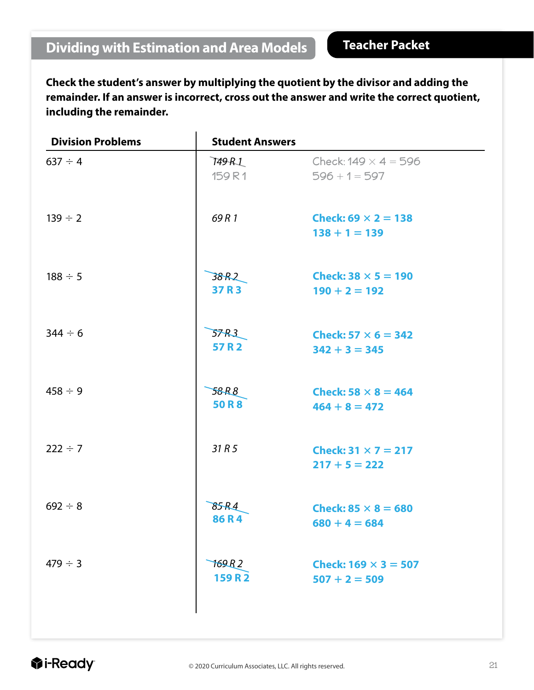**Check the student's answer by multiplying the quotient by the divisor and adding the remainder. If an answer is incorrect, cross out the answer and write the correct quotient, including the remainder.**

| <b>Division Problems</b> | <b>Student Answers</b> |                                                |
|--------------------------|------------------------|------------------------------------------------|
| $637 \div 4$             | 749 R.L<br>159R1       | Check: $149 \times 4 = 596$<br>$596 + 1 = 597$ |
| $139 \div 2$             | 69 R 1                 | Check: 69 $\times$ 2 = 138<br>$138 + 1 = 139$  |
| $188 \div 5$             | 38R2<br>37 R 3         | Check: $38 \times 5 = 190$<br>$190 + 2 = 192$  |
| $344 \div 6$             | 57 R.Z<br>57 R 2       | Check: 57 $\times$ 6 = 342<br>$342 + 3 = 345$  |
| $458 \div 9$             | 58R8<br><b>50 R 8</b>  | Check: 58 $\times$ 8 = 464<br>$464 + 8 = 472$  |
| $222 \div 7$             | 31R5                   | Check: $31 \times 7 = 217$<br>$217 + 5 = 222$  |
| $692 \div 8$             | 85R4<br>86R4           | Check: $85 \times 8 = 680$<br>$680 + 4 = 684$  |
| $479 \div 3$             | 169.R 2<br>159 R 2     | Check: $169 \times 3 = 507$<br>$507 + 2 = 509$ |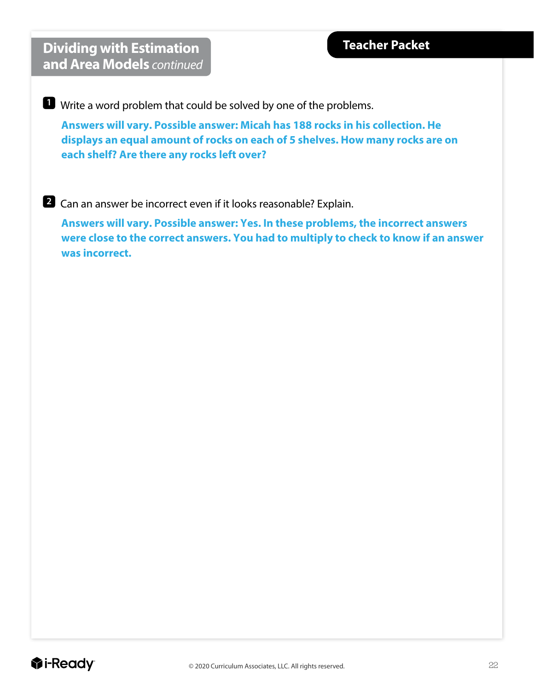**Dividing with Estimation and Area Models** *continued*

**1** Write a word problem that could be solved by one of the problems.

**Answers will vary. Possible answer: Micah has 188 rocks in his collection. He displays an equal amount of rocks on each of 5 shelves. How many rocks are on each shelf? Are there any rocks left over?** 

#### **2** Can an answer be incorrect even if it looks reasonable? Explain.

**Answers will vary. Possible answer: Yes. In these problems, the incorrect answers were close to the correct answers. You had to multiply to check to know if an answer was incorrect.**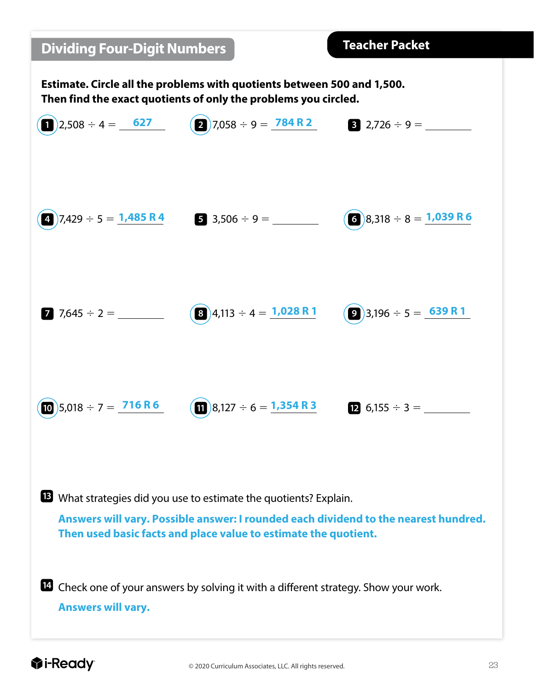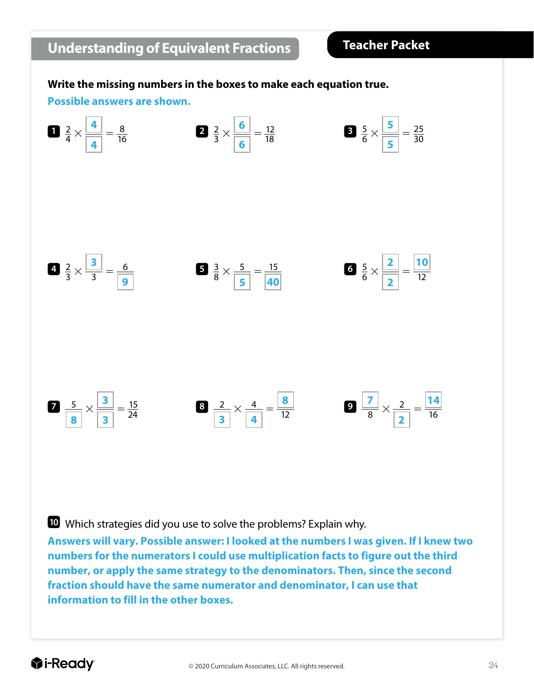#### **Write the missing numbers in the boxes to make each equation true.**

#### **Possible answers are shown.**



Which strategies did you use to solve the problems? Explain why.

**Answers will vary. Possible answer: I looked at the numbers I was given. If I knew two numbers for the numerators I could use multiplication facts to figure out the third number, or apply the same strategy to the denominators. Then, since the second fraction should have the same numerator and denominator, I can use that information to fill in the other boxes.**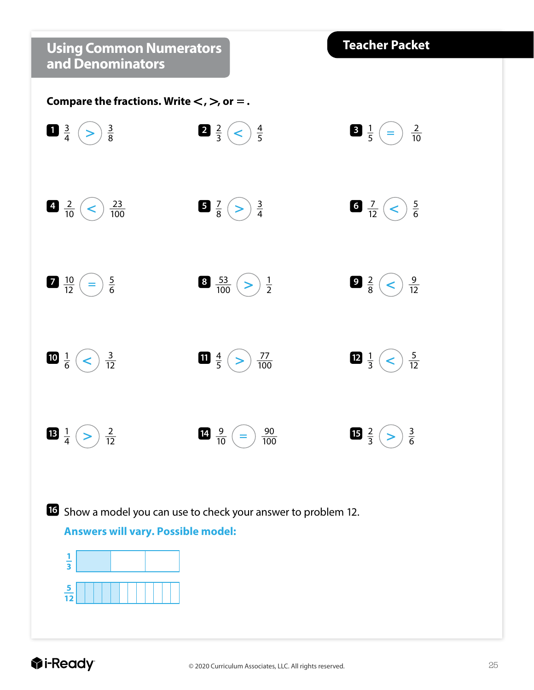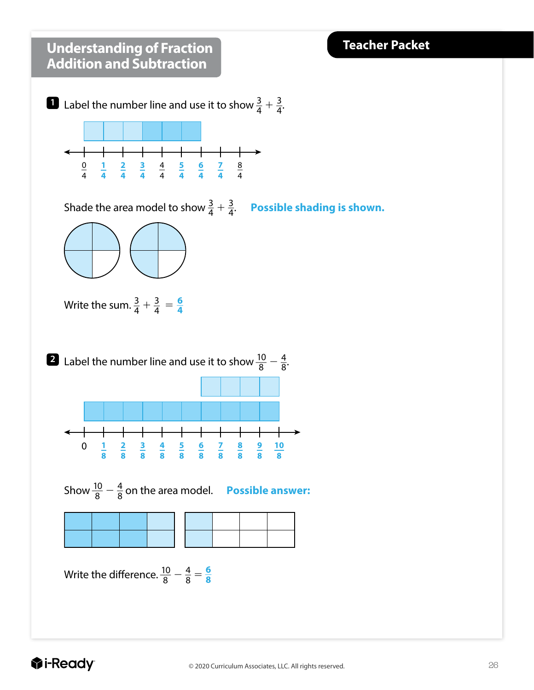#### **Understanding of Fraction Teacher Packet Addition and Subtraction 1** Label the number line and use it to show  $\frac{3}{4} + \frac{3}{4}$ .  $\frac{0}{4}$   $\frac{1}{4}$   $\frac{2}{4}$   $\frac{3}{4}$   $\frac{4}{4}$   $\frac{5}{4}$   $\frac{6}{4}$   $\frac{7}{4}$   $\frac{8}{4}$  Shade the area model to show  $\frac{3}{4} + \frac{3}{4}$ . Possible shading is shown. Write the sum.  $\frac{3}{4} + \frac{3}{4} = \frac{6}{4}$  **2** Label the number line and use it to show  $\frac{10}{8} - \frac{4}{8}$ .  $\mathsf{+}$  $\frac{1}{8}$ 0 **1** Show $\frac{10}{8} - \frac{4}{8}$  on the area model. **Possible answer:** Write the difference.  $\frac{10}{8} - \frac{4}{8} = \frac{6}{8}$

#### **D**i-Ready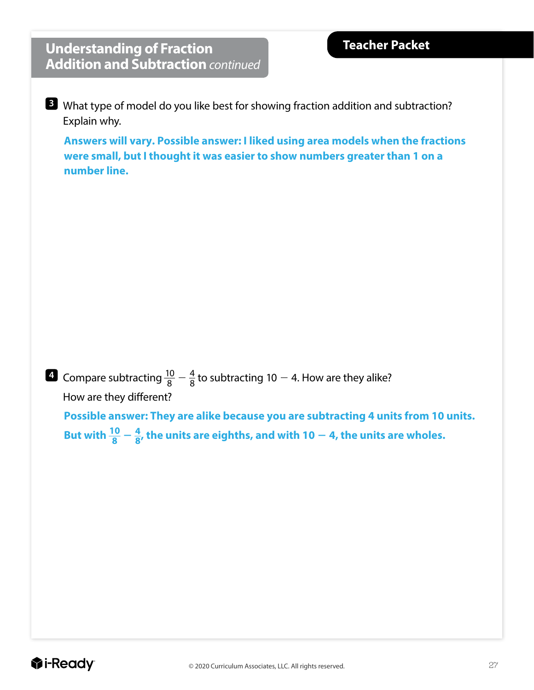### **Understanding of Fraction Addition and Subtraction** *continued*

**3** What type of model do you like best for showing fraction addition and subtraction? Explain why.

**Answers will vary. Possible answer: I liked using area models when the fractions were small, but I thought it was easier to show numbers greater than 1 on a number line.**

**4** Compare subtracting  $\frac{10}{8} - \frac{4}{8}$  to subtracting 10  $-$  4. How are they alike? How are they different?

**Possible answer: They are alike because you are subtracting 4 units from 10 units.**  But with  $\frac{10}{8} - \frac{4}{8}$ , the units are eighths, and with 10  $-$  4, the units are wholes.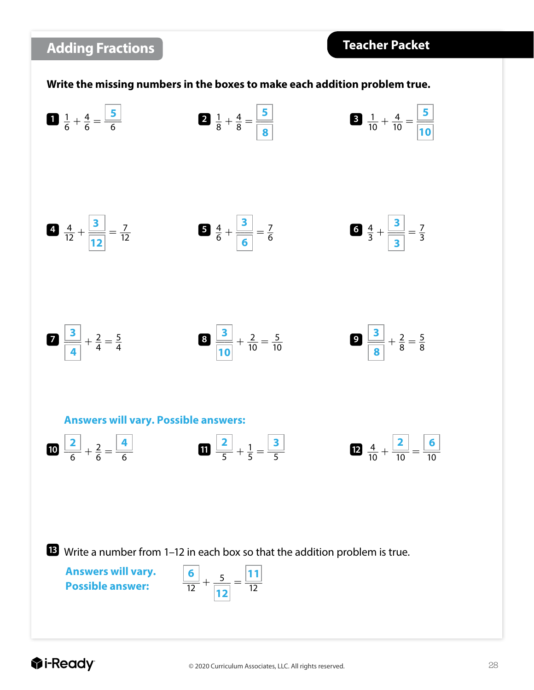

#### *<u>Oi-Ready</u>*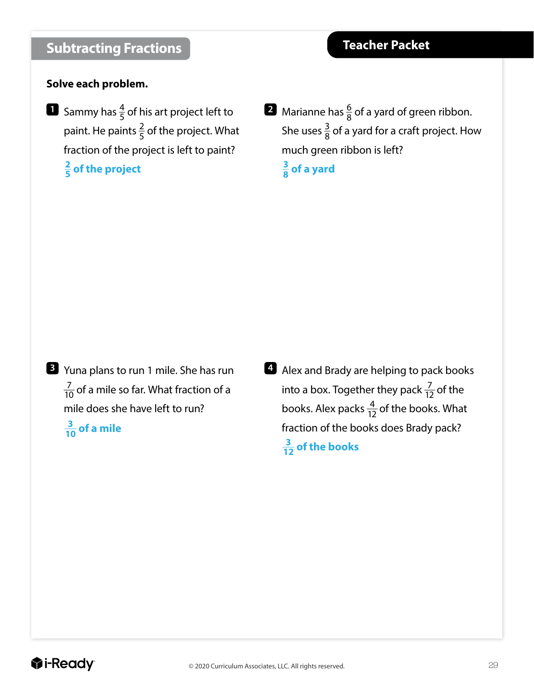#### **Solve each problem.**

- **1** Sammy has  $\frac{4}{5}$  of his art project left to paint. He paints  $\frac{2}{5}$  of the project. What fraction of the project is left to paint? **\_\_ 2 <sup>5</sup> of the project**
- **2** Marianne has  $\frac{6}{8}$  of a yard of green ribbon. She uses  $\frac{3}{8}$  of a yard for a craft project. How much green ribbon is left? **\_\_ 3 <sup>8</sup> of a yard**

- **3** Yuna plans to run 1 mile. She has run  $\frac{7}{10}$  of a mile so far. What fraction of a mile does she have left to run? **\_\_\_3 <sup>10</sup> of a mile**
- **4** Alex and Brady are helping to pack books into a box. Together they pack  $\frac{7}{12}$  of the books. Alex packs  $\frac{4}{12}$  of the books. What fraction of the books does Brady pack?  $\frac{3}{12}$  of the books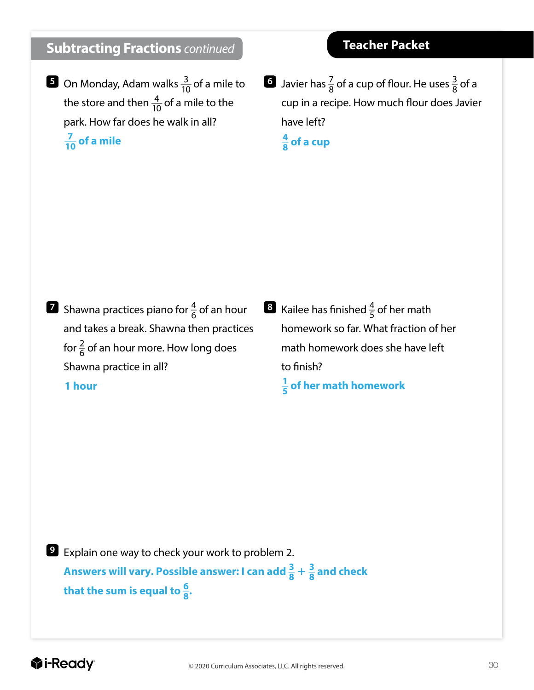### **Subtracting Fractions** *continued*

**5** On Monday, Adam walks  $\frac{3}{10}$  of a mile to the store and then  $\frac{4}{10}$  of a mile to the park. How far does he walk in all? **\_\_\_7 10 of a mile**

**6** Javier has  $\frac{7}{8}$  of a cup of flour. He uses  $\frac{3}{8}$  of a cup in a recipe. How much flour does Javier have left?

**\_\_ 4 <sup>8</sup> of a cup**

- **7** Shawna practices piano for  $\frac{4}{6}$  of an hour and takes a break. Shawna then practices for  $\frac{2}{6}$  of an hour more. How long does Shawna practice in all? **1 hour**
- $\frac{3}{5}$  Kailee has finished  $\frac{4}{5}$  of her math homework so far. What fraction of her math homework does she have left to finish? **\_\_ 1 <sup>5</sup> of her math homework**

**9** Explain one way to check your work to problem 2. Answers will vary. Possible answer: I can add  $\frac{3}{8} + \frac{3}{8}$  and check that the sum is equal to  $\frac{6}{8}$ .